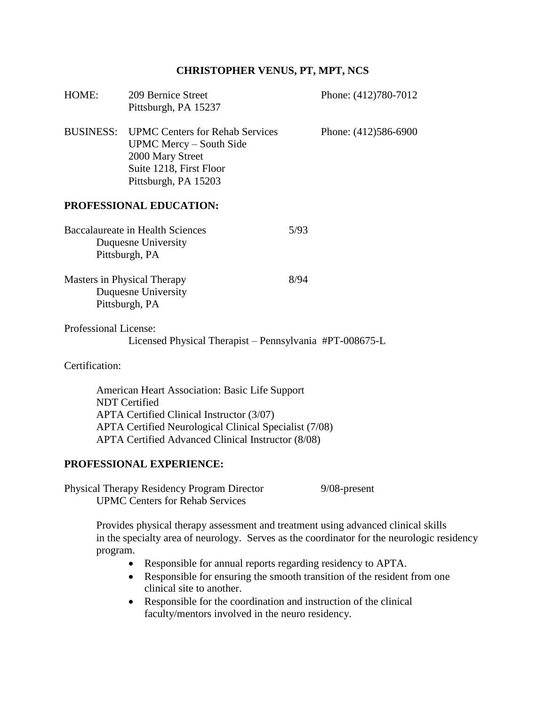### **CHRISTOPHER VENUS, PT, MPT, NCS**

| HOME:                                                                                                                                                 | 209 Bernice Street<br>Pittsburgh, PA 15237                                                                                               |      | Phone: (412)780-7012 |  |  |  |
|-------------------------------------------------------------------------------------------------------------------------------------------------------|------------------------------------------------------------------------------------------------------------------------------------------|------|----------------------|--|--|--|
| <b>BUSINESS:</b>                                                                                                                                      | <b>UPMC Centers for Rehab Services</b><br>UPMC Mercy – South Side<br>2000 Mary Street<br>Suite 1218, First Floor<br>Pittsburgh, PA 15203 |      | Phone: (412)586-6900 |  |  |  |
| <b>PROFESSIONAL EDUCATION:</b>                                                                                                                        |                                                                                                                                          |      |                      |  |  |  |
|                                                                                                                                                       | Baccalaureate in Health Sciences<br>Duquesne University<br>Pittsburgh, PA                                                                | 5/93 |                      |  |  |  |
|                                                                                                                                                       | Masters in Physical Therapy<br>Duquesne University<br>Pittsburgh, PA                                                                     | 8/94 |                      |  |  |  |
| Professional License:                                                                                                                                 | Licensed Physical Therapist – Pennsylvania #PT-008675-L                                                                                  |      |                      |  |  |  |
| $\alpha$ . $\alpha$ is $\alpha$ . $\beta$ is $\alpha$ is $\alpha$ is a set of $\alpha$ is a set of $\alpha$ is a set of $\alpha$ is a set of $\alpha$ |                                                                                                                                          |      |                      |  |  |  |

Certification:

American Heart Association: Basic Life Support NDT Certified APTA Certified Clinical Instructor (3/07) APTA Certified Neurological Clinical Specialist (7/08) APTA Certified Advanced Clinical Instructor (8/08)

### **PROFESSIONAL EXPERIENCE:**

Physical Therapy Residency Program Director 9/08-present UPMC Centers for Rehab Services

Provides physical therapy assessment and treatment using advanced clinical skills in the specialty area of neurology. Serves as the coordinator for the neurologic residency program.

- Responsible for annual reports regarding residency to APTA.
- Responsible for ensuring the smooth transition of the resident from one clinical site to another.
- Responsible for the coordination and instruction of the clinical faculty/mentors involved in the neuro residency.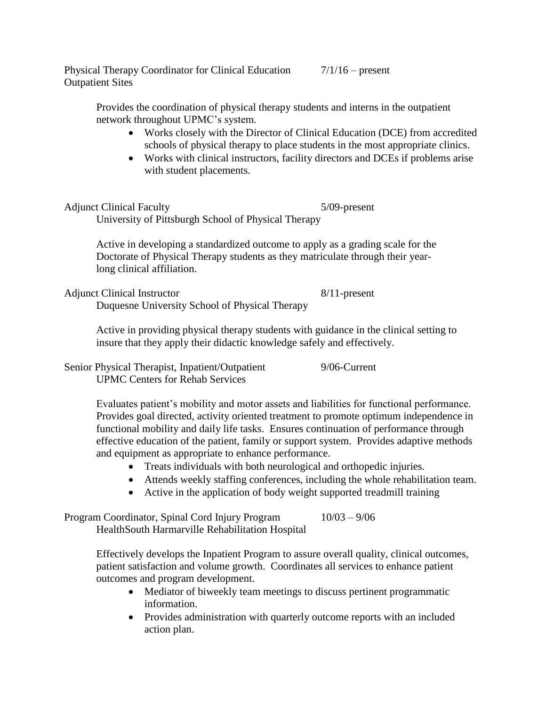Physical Therapy Coordinator for Clinical Education  $\frac{7}{116}$  – present Outpatient Sites

Provides the coordination of physical therapy students and interns in the outpatient network throughout UPMC's system.

- Works closely with the Director of Clinical Education (DCE) from accredited schools of physical therapy to place students in the most appropriate clinics.
- Works with clinical instructors, facility directors and DCEs if problems arise with student placements.

Adjunct Clinical Faculty 5/09-present University of Pittsburgh School of Physical Therapy

> Active in developing a standardized outcome to apply as a grading scale for the Doctorate of Physical Therapy students as they matriculate through their yearlong clinical affiliation.

Adjunct Clinical Instructor 8/11-present

Duquesne University School of Physical Therapy

Active in providing physical therapy students with guidance in the clinical setting to insure that they apply their didactic knowledge safely and effectively.

Senior Physical Therapist, Inpatient/Outpatient 9/06-Current UPMC Centers for Rehab Services

> Evaluates patient's mobility and motor assets and liabilities for functional performance. Provides goal directed, activity oriented treatment to promote optimum independence in functional mobility and daily life tasks. Ensures continuation of performance through effective education of the patient, family or support system. Provides adaptive methods and equipment as appropriate to enhance performance.

- Treats individuals with both neurological and orthopedic injuries.
- Attends weekly staffing conferences, including the whole rehabilitation team.
- Active in the application of body weight supported treadmill training

Program Coordinator, Spinal Cord Injury Program 10/03 – 9/06 HealthSouth Harmarville Rehabilitation Hospital

> Effectively develops the Inpatient Program to assure overall quality, clinical outcomes, patient satisfaction and volume growth. Coordinates all services to enhance patient outcomes and program development.

- Mediator of biweekly team meetings to discuss pertinent programmatic information.
- Provides administration with quarterly outcome reports with an included action plan.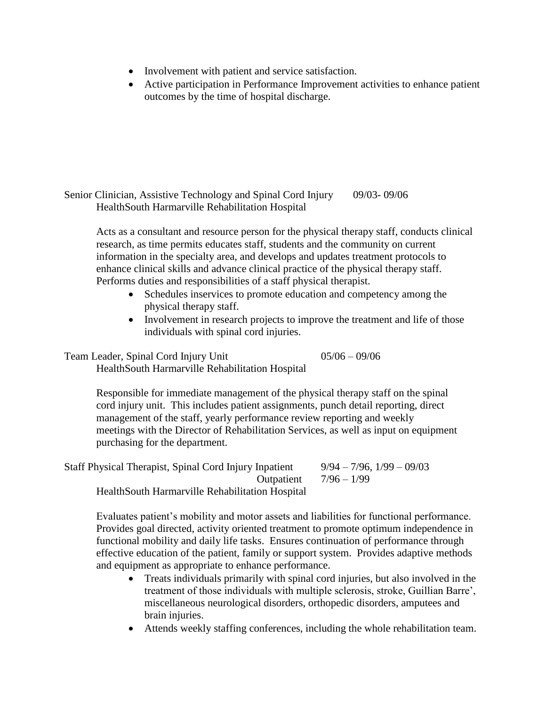- Involvement with patient and service satisfaction.
- Active participation in Performance Improvement activities to enhance patient outcomes by the time of hospital discharge.

```
Senior Clinician, Assistive Technology and Spinal Cord Injury 09/03- 09/06
HealthSouth Harmarville Rehabilitation Hospital
```
Acts as a consultant and resource person for the physical therapy staff, conducts clinical research, as time permits educates staff, students and the community on current information in the specialty area, and develops and updates treatment protocols to enhance clinical skills and advance clinical practice of the physical therapy staff. Performs duties and responsibilities of a staff physical therapist.

- Schedules inservices to promote education and competency among the physical therapy staff.
- Involvement in research projects to improve the treatment and life of those individuals with spinal cord injuries.

Team Leader, Spinal Cord Injury Unit 05/06 – 09/06

HealthSouth Harmarville Rehabilitation Hospital

Responsible for immediate management of the physical therapy staff on the spinal cord injury unit. This includes patient assignments, punch detail reporting, direct management of the staff, yearly performance review reporting and weekly meetings with the Director of Rehabilitation Services, as well as input on equipment purchasing for the department.

Staff Physical Therapist, Spinal Cord Injury Inpatient  $9/94 - 7/96$ ,  $1/99 - 09/03$ Outpatient  $7/96 - 1/99$ HealthSouth Harmarville Rehabilitation Hospital

Evaluates patient's mobility and motor assets and liabilities for functional performance. Provides goal directed, activity oriented treatment to promote optimum independence in functional mobility and daily life tasks. Ensures continuation of performance through effective education of the patient, family or support system. Provides adaptive methods and equipment as appropriate to enhance performance.

- Treats individuals primarily with spinal cord injuries, but also involved in the treatment of those individuals with multiple sclerosis, stroke, Guillian Barre', miscellaneous neurological disorders, orthopedic disorders, amputees and brain injuries.
- Attends weekly staffing conferences, including the whole rehabilitation team.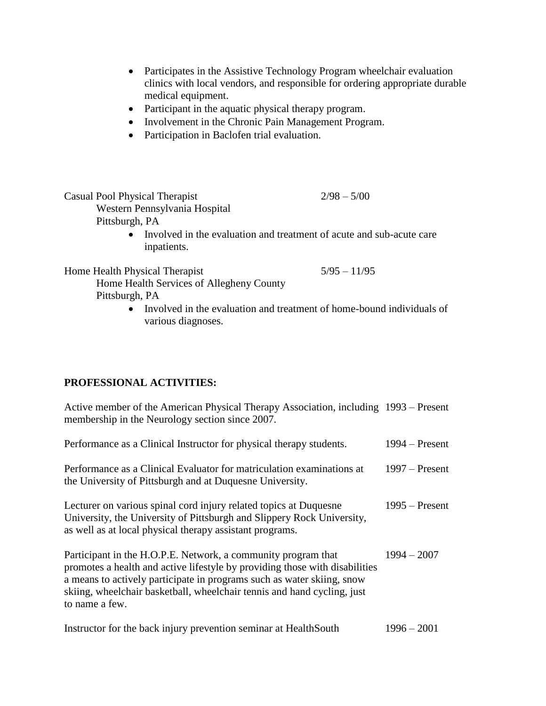- Participates in the Assistive Technology Program wheelchair evaluation clinics with local vendors, and responsible for ordering appropriate durable medical equipment.
- Participant in the aquatic physical therapy program.
- Involvement in the Chronic Pain Management Program.
- Participation in Baclofen trial evaluation.

Casual Pool Physical Therapist 2/98 – 5/00 Western Pennsylvania Hospital Pittsburgh, PA

• Involved in the evaluation and treatment of acute and sub-acute care inpatients.

Home Health Physical Therapist 5/95 – 11/95

Home Health Services of Allegheny County Pittsburgh, PA

> • Involved in the evaluation and treatment of home-bound individuals of various diagnoses.

## **PROFESSIONAL ACTIVITIES:**

Active member of the American Physical Therapy Association, including 1993 – Present membership in the Neurology section since 2007.

| Performance as a Clinical Instructor for physical therapy students.                                                                                                                                                                                                                                                 | 1994 – Present   |
|---------------------------------------------------------------------------------------------------------------------------------------------------------------------------------------------------------------------------------------------------------------------------------------------------------------------|------------------|
| Performance as a Clinical Evaluator for matriculation examinations at<br>the University of Pittsburgh and at Duquesne University.                                                                                                                                                                                   | $1997 -$ Present |
| Lecturer on various spinal cord injury related topics at Duquesne<br>University, the University of Pittsburgh and Slippery Rock University,<br>as well as at local physical therapy assistant programs.                                                                                                             | $1995 -$ Present |
| Participant in the H.O.P.E. Network, a community program that<br>promotes a health and active lifestyle by providing those with disabilities<br>a means to actively participate in programs such as water skiing, snow<br>skiing, wheelchair basketball, wheelchair tennis and hand cycling, just<br>to name a few. | $1994 - 2007$    |
| Instructor for the back injury prevention seminar at HealthSouth                                                                                                                                                                                                                                                    | $1996 - 2001$    |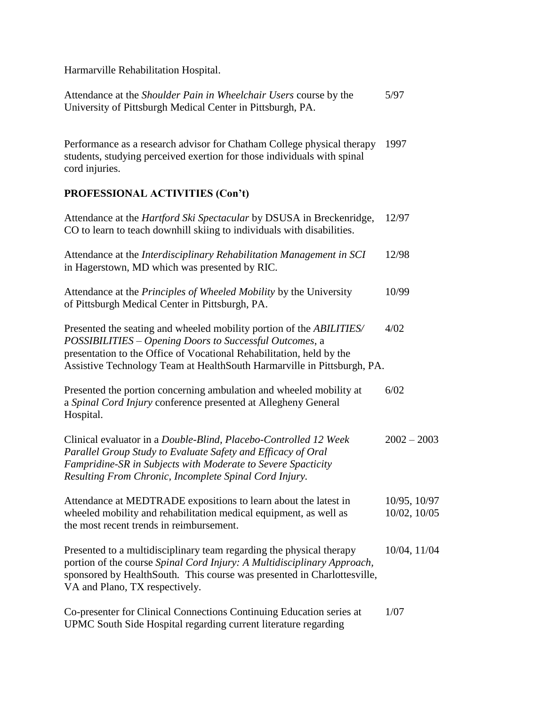Harmarville Rehabilitation Hospital.

| Attendance at the <i>Shoulder Pain in Wheelchair Users</i> course by the | 5/97 |
|--------------------------------------------------------------------------|------|
| University of Pittsburgh Medical Center in Pittsburgh, PA.               |      |

Performance as a research advisor for Chatham College physical therapy 1997 students, studying perceived exertion for those individuals with spinal cord injuries.

## **PROFESSIONAL ACTIVITIES (Con't)**

| Attendance at the <i>Hartford Ski Spectacular</i> by DSUSA in Breckenridge,<br>CO to learn to teach downhill skiing to individuals with disabilities.                                                                                                                              | 12/97                        |
|------------------------------------------------------------------------------------------------------------------------------------------------------------------------------------------------------------------------------------------------------------------------------------|------------------------------|
| Attendance at the Interdisciplinary Rehabilitation Management in SCI<br>in Hagerstown, MD which was presented by RIC.                                                                                                                                                              | 12/98                        |
| Attendance at the Principles of Wheeled Mobility by the University<br>of Pittsburgh Medical Center in Pittsburgh, PA.                                                                                                                                                              | 10/99                        |
| Presented the seating and wheeled mobility portion of the ABILITIES/<br>POSSIBILITIES - Opening Doors to Successful Outcomes, a<br>presentation to the Office of Vocational Rehabilitation, held by the<br>Assistive Technology Team at HealthSouth Harmarville in Pittsburgh, PA. | 4/02                         |
| Presented the portion concerning ambulation and wheeled mobility at<br>a Spinal Cord Injury conference presented at Allegheny General<br>Hospital.                                                                                                                                 | 6/02                         |
| Clinical evaluator in a Double-Blind, Placebo-Controlled 12 Week<br>Parallel Group Study to Evaluate Safety and Efficacy of Oral<br>Fampridine-SR in Subjects with Moderate to Severe Spacticity<br>Resulting From Chronic, Incomplete Spinal Cord Injury.                         | $2002 - 2003$                |
| Attendance at MEDTRADE expositions to learn about the latest in<br>wheeled mobility and rehabilitation medical equipment, as well as<br>the most recent trends in reimbursement.                                                                                                   | 10/95, 10/97<br>10/02, 10/05 |
| Presented to a multidisciplinary team regarding the physical therapy<br>portion of the course Spinal Cord Injury: A Multidisciplinary Approach,<br>sponsored by HealthSouth. This course was presented in Charlottesville,<br>VA and Plano, TX respectively.                       | 10/04, 11/04                 |
| Co-presenter for Clinical Connections Continuing Education series at                                                                                                                                                                                                               | 1/07                         |

UPMC South Side Hospital regarding current literature regarding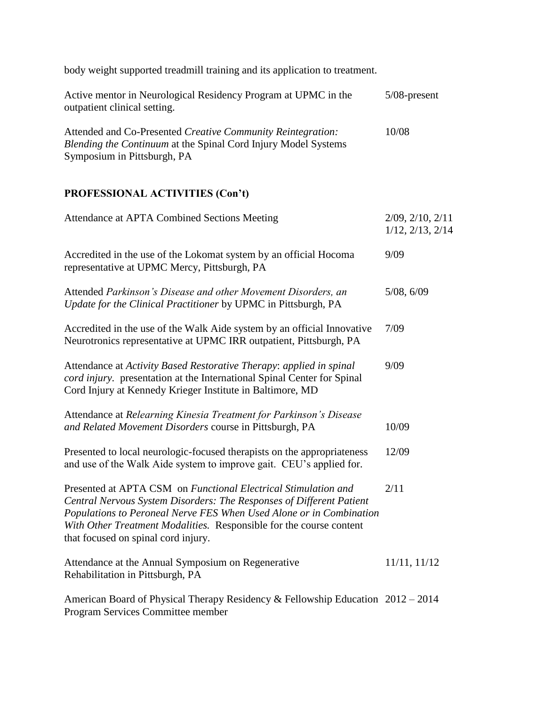body weight supported treadmill training and its application to treatment.

| Active mentor in Neurological Residency Program at UPMC in the<br>outpatient clinical setting.                                                                      | $5/08$ -present |
|---------------------------------------------------------------------------------------------------------------------------------------------------------------------|-----------------|
| Attended and Co-Presented Creative Community Reintegration:<br><i>Blending the Continuum at the Spinal Cord Injury Model Systems</i><br>Symposium in Pittsburgh, PA | 10/08           |

# **PROFESSIONAL ACTIVITIES (Con't)**

| Attendance at APTA Combined Sections Meeting                                                                                                                                                                                                                                                                                | $2/09$ , $2/10$ , $2/11$<br>$1/12$ , $2/13$ , $2/14$ |
|-----------------------------------------------------------------------------------------------------------------------------------------------------------------------------------------------------------------------------------------------------------------------------------------------------------------------------|------------------------------------------------------|
| Accredited in the use of the Lokomat system by an official Hocoma<br>representative at UPMC Mercy, Pittsburgh, PA                                                                                                                                                                                                           | 9/09                                                 |
| Attended Parkinson's Disease and other Movement Disorders, an<br>Update for the Clinical Practitioner by UPMC in Pittsburgh, PA                                                                                                                                                                                             | 5/08, 6/09                                           |
| Accredited in the use of the Walk Aide system by an official Innovative<br>Neurotronics representative at UPMC IRR outpatient, Pittsburgh, PA                                                                                                                                                                               | 7/09                                                 |
| Attendance at Activity Based Restorative Therapy: applied in spinal<br>cord injury. presentation at the International Spinal Center for Spinal<br>Cord Injury at Kennedy Krieger Institute in Baltimore, MD                                                                                                                 | 9/09                                                 |
| Attendance at Relearning Kinesia Treatment for Parkinson's Disease<br>and Related Movement Disorders course in Pittsburgh, PA                                                                                                                                                                                               | 10/09                                                |
| Presented to local neurologic-focused therapists on the appropriateness<br>and use of the Walk Aide system to improve gait. CEU's applied for.                                                                                                                                                                              | 12/09                                                |
| Presented at APTA CSM on Functional Electrical Stimulation and<br>Central Nervous System Disorders: The Responses of Different Patient<br>Populations to Peroneal Nerve FES When Used Alone or in Combination<br>With Other Treatment Modalities. Responsible for the course content<br>that focused on spinal cord injury. | 2/11                                                 |
| Attendance at the Annual Symposium on Regenerative<br>Rehabilitation in Pittsburgh, PA                                                                                                                                                                                                                                      | 11/11, 11/12                                         |
| American Board of Physical Therapy Residency & Fellowship Education 2012 - 2014<br>Program Services Committee member                                                                                                                                                                                                        |                                                      |